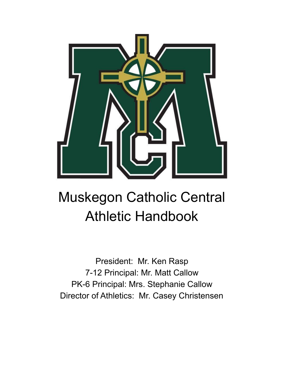

# Muskegon Catholic Central Athletic Handbook

President: Mr. Ken Rasp 7-12 Principal: Mr. Matt Callow PK-6 Principal: Mrs. Stephanie Callow Director of Athletics: Mr. Casey Christensen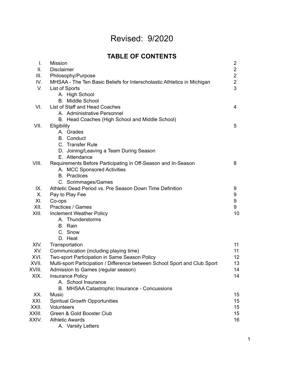### Revised: 9/2020

| <b>TABLE OF CONTENTS</b> |  |  |  |
|--------------------------|--|--|--|
|--------------------------|--|--|--|

| I.     | <b>Mission</b>                                                             | $\overline{2}$ |  |  |
|--------|----------------------------------------------------------------------------|----------------|--|--|
| Ш.     | <b>Disclaimer</b>                                                          |                |  |  |
| III.   | Philosophy/Purpose                                                         |                |  |  |
| IV.    | MHSAA - The Ten Basic Beliefs for Interscholastic Athletics in Michigan    | $\overline{2}$ |  |  |
| V.     | List of Sports                                                             | 3              |  |  |
|        | A. High School                                                             |                |  |  |
|        | <b>B.</b> Middle School                                                    |                |  |  |
| VI.    | List of Staff and Head Coaches                                             | 4              |  |  |
|        | A. Administrative Personnel                                                |                |  |  |
|        | B. Head Coaches (High School and Middle School)                            |                |  |  |
| VII.   | Eligibility                                                                | 5              |  |  |
|        | A. Grades                                                                  |                |  |  |
|        | <b>B.</b> Conduct                                                          |                |  |  |
|        | C. Transfer Rule                                                           |                |  |  |
|        | D. Joining/Leaving a Team During Season                                    |                |  |  |
|        | E. Attendance                                                              |                |  |  |
| VIII.  | Requirements Before Participating in Off-Season and In-Season              | 8              |  |  |
|        | A. MCC Sponsored Activities                                                |                |  |  |
|        | <b>B.</b> Practices                                                        |                |  |  |
|        | C. Scrimmages/Games                                                        |                |  |  |
| IX.    | Athletic Dead Period vs. Pre Season Down Time Definition                   | 9              |  |  |
| X.     | Pay to Play Fee                                                            | 9              |  |  |
| XI.    | Co-ops                                                                     | 9              |  |  |
| XII.   | Practices / Games                                                          | 9              |  |  |
| XIII.  | Inclement Weather Policy                                                   | 10             |  |  |
|        | A. Thunderstorms                                                           |                |  |  |
|        | B. Rain                                                                    |                |  |  |
|        | C. Snow                                                                    |                |  |  |
|        | D. Heat                                                                    |                |  |  |
| XIV.   | Transportation                                                             | 11             |  |  |
| XV.    | Communication (including playing time)                                     | 11             |  |  |
| XVI.   | Two-sport Participation in Same Season Policy                              | 12             |  |  |
| XVII.  | Multi-sport Participation / Difference between School Sport and Club Sport | 13             |  |  |
| XVIII. | Admission to Games (regular season)                                        | 14             |  |  |
| XIX.   | <b>Insurance Policy</b>                                                    | 14             |  |  |
|        | A. School Insurance                                                        |                |  |  |
|        | <b>MHSAA Catastrophic Insurance - Concussions</b><br>B.                    |                |  |  |
| XX.    | <b>Music</b>                                                               | 15             |  |  |
| XXI.   | <b>Spiritual Growth Opportunities</b>                                      | 15             |  |  |
| XXII.  | Volunteers                                                                 | 15             |  |  |
| XXIII. | Green & Gold Booster Club                                                  | 15             |  |  |
| XXIV.  | <b>Athletic Awards</b>                                                     | 16             |  |  |
|        | A. Varsity Letters                                                         |                |  |  |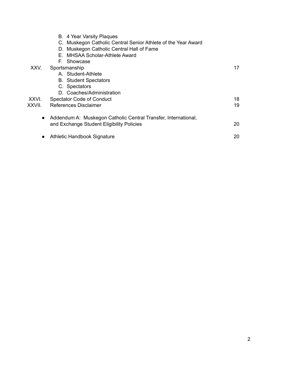|           | B. 4 Year Varsity Plaques<br>C. Muskegon Catholic Central Senior Athlete of the Year Award |    |
|-----------|--------------------------------------------------------------------------------------------|----|
|           | D. Muskegon Catholic Central Hall of Fame                                                  |    |
|           | E. MHSAA Scholar-Athlete Award                                                             |    |
|           | F. Showcase                                                                                |    |
| XXV.      | Sportsmanship                                                                              | 17 |
|           | A. Student-Athlete                                                                         |    |
|           | <b>B.</b> Student Spectators                                                               |    |
|           | C. Spectators                                                                              |    |
|           | D. Coaches/Administration                                                                  |    |
| XXVI.     | <b>Spectator Code of Conduct</b>                                                           | 18 |
| XXVII.    | References Disclaimer                                                                      | 19 |
| $\bullet$ | Addendum A: Muskegon Catholic Central Transfer, International,                             |    |
|           | and Exchange Student Eligibility Policies                                                  | 20 |
| $\bullet$ | Athletic Handbook Signature                                                                | 20 |
|           |                                                                                            |    |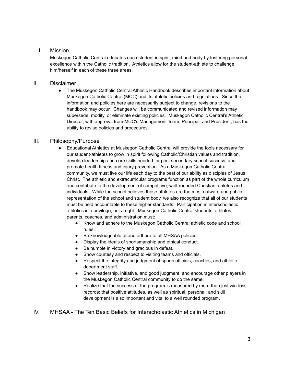#### I. Mission

Muskegon Catholic Central educates each student in spirit, mind and body by fostering personal excellence within the Catholic tradition. Athletics allow for the student-athlete to challenge him/herself in each of these three areas.

#### II. Disclaimer

• The Muskegon Catholic Central Athletic Handbook describes important information about Muskegon Catholic Central (MCC) and its athletic policies and regulations. Since the information and policies here are necessarily subject to change, revisions to the handbook may occur. Changes will be communicated and revised information may supersede, modify, or eliminate existing policies. Muskegon Catholic Central's Athletic Director, with approval from MCC's Management Team, Principal, and President, has the ability to revise policies and procedures.

#### III. Philosophy/Purpose

- Educational Athletics at Muskegon Catholic Central will provide the tools necessary for our student-athletes to grow in spirit following Catholic/Christian values and tradition, develop leadership and core skills needed for post secondary school success, and promote health fitness and injury prevention. As a Muskegon Catholic Central community, we must live our life each day to the best of our ability as disciples of Jesus Christ. The athletic and extracurricular programs function as part of the whole curriculum and contribute to the development of competitive, well-rounded Christian athletes and individuals. While the school believes those athletes are the most outward and public representation of the school and student body, we also recognize that all of our students must be held accountable to these higher standards. Participation in interscholastic athletics is a privilege, not a right. Muskegon Catholic Central students, athletes, parents, coaches, and administration must:
	- Know and adhere to the Muskegon Catholic Central athletic code and school rules.
	- Be knowledgeable of and adhere to all MHSAA policies.
	- Display the ideals of sportsmanship and ethical conduct.
	- Be humble in victory and gracious in defeat.
	- Show courtesy and respect to visiting teams and officials.
	- Respect the integrity and judgment of sports officials, coaches, and athletic department staff.
	- Show leadership, initiative, and good judgment, and encourage other players in the Muskegon Catholic Central community to do the same.
	- Realize that the success of the program is measured by more than just win-loss records; that positive attitudes, as well as spiritual, personal, and skill development is also important and vital to a well rounded program.

#### IV. MHSAA - The Ten Basic Beliefs for Interscholastic Athletics in Michigan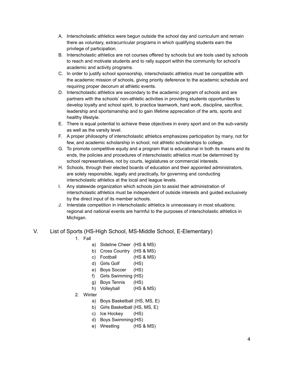- A. Interscholastic athletics were begun outside the school day and curriculum and remain there as voluntary, extracurricular programs in which qualifying students earn the privilege of participation.
- B. Interscholastic athletics are not courses offered by schools but are tools used by schools to reach and motivate students and to rally support within the community for school's academic and activity programs.
- C. In order to justify school sponsorship, interscholastic athletics must be compatible with the academic mission of schools, giving priority deference to the academic schedule and requiring proper decorum at athletic events.
- D. Interscholastic athletics are secondary to the academic program of schools and are partners with the schools' non-athletic activities in providing students opportunities to develop loyalty and school spirit, to practice teamwork, hard work, discipline, sacrifice, leadership and sportsmanship and to gain lifetime appreciation of the arts, sports and healthy lifestyle.
- E. There is equal potential to achieve these objectives in every sport and on the sub-varsity as well as the varsity level.
- F. A proper philosophy of interscholastic athletics emphasizes participation by many, not for few, and academic scholarship in school, not athletic scholarships to college.
- G. To promote competitive equity and a program that is educational in both its means and its ends, the policies and procedures of interscholastic athletics must be determined by school representatives, not by courts, legislatures or commercial interests.
- H. Schools, through their elected boards of education and their appointed administrators, are solely responsible, legally and practically, for governing and conducting interscholastic athletics at the local and league levels.
- I. Any statewide organization which schools join to assist their administration of interscholastic athletics must be independent of outside interests and guided exclusively by the direct input of its member schools.
- J. Interstate competition in interscholastic athletics is unnecessary in most situations; regional and national events are harmful to the purposes of interscholastic athletics in Michigan.

#### V. List of Sports (HS-High School, MS-Middle School, E-Elementary)

- 1. Fall
	- a) Sideline Cheer (HS & MS)
	- b) Cross Country (HS & MS)
	- c) Football (HS & MS)
	- d) Girls Golf (HS)
	- e) Boys Soccer (HS)
	- f) Girls Swimming (HS)
	- g) Boys Tennis (HS)
	- h) Volleyball (HS & MS)
- 2. Winter
	- a) Boys Basketball (HS, MS, E)
	- b) Girls Basketball (HS, MS, E)
	- c) Ice Hockey (HS)
	- d) Boys Swimming(HS)
	- e) Wrestling (HS & MS)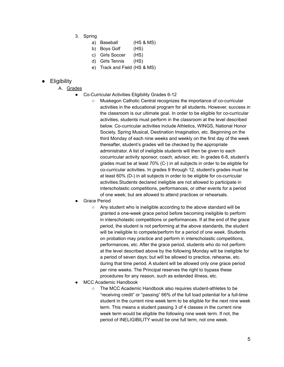- 3. Spring
	- a) Baseball (HS & MS)
	- b) Boys Golf (HS)
	- c) Girls Soccer (HS)
	- d) Girls Tennis (HS)
	- e) Track and Field (HS & MS)

#### **Eligibility**

- A. Grades
	- Co-Curricular Activities Eligibility Grades 6-12
		- Muskegon Catholic Central recognizes the importance of co-curricular activities in the educational program for all students. However, success in the classroom is our ultimate goal. In order to be eligible for co-curricular activities, students must perform in the classroom at the level described below. Co-curricular activities include Athletics, WINGS, National Honor Society, Spring Musical, Destination Imagination, etc. Beginning on the third Monday of each nine weeks and weekly on the first day of the week thereafter, student's grades will be checked by the appropriate administrator. A list of ineligible students will then be given to each cocurricular activity sponsor, coach, advisor, etc. In grades 6-8, student's grades must be at least 70% (C-) in all subjects in order to be eligible for co-curricular activities. In grades 9 through 12, student's grades must be at least 60% (D-) in all subjects in order to be eligible for co-curricular activities.Students declared ineligible are not allowed to participate in interscholastic competitions, performances, or other events for a period of one week; but are allowed to attend practices or rehearsals.
	- **Grace Period** 
		- Any student who is ineligible according to the above standard will be granted a one-week grace period before becoming ineligible to perform in interscholastic competitions or performances. If at the end of the grace period, the student is not performing at the above standards, the student will be ineligible to compete/perform for a period of one week. Students on probation may practice and perform in interscholastic competitions, performances, etc. After the grace period, students who do not perform at the level described above by the following Monday will be ineligible for a period of seven days; but will be allowed to practice, rehearse, etc. during that time period. A student will be allowed only one grace period per nine weeks. The Principal reserves the right to bypass these procedures for any reason, such as extended illness, etc.
	- MCC Academic Handbook
		- The MCC Academic Handbook also requires student-athletes to be "receiving credit" or "passing" 66% of the full load potential for a full-time student in the current nine week term to be eligible for the next nine week term. This means a student passing 3 of 4 classes in the current nine week term would be eligible the following nine week term. If not, the period of INELIGIBILITY would be one full term, not one week.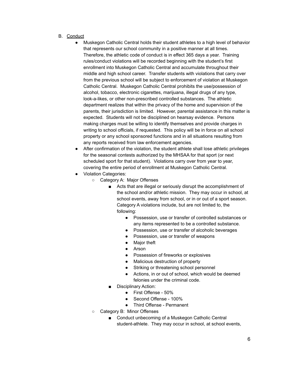- B. Conduct
	- Muskegon Catholic Central holds their student athletes to a high level of behavior that represents our school community in a positive manner at all times. Therefore, the athletic code of conduct is in effect 365 days a year. Training rules/conduct violations will be recorded beginning with the student's first enrollment into Muskegon Catholic Central and accumulate throughout their middle and high school career. Transfer students with violations that carry over from the previous school will be subject to enforcement of violation at Muskegon Catholic Central. Muskegon Catholic Central prohibits the use/possession of alcohol, tobacco, electronic cigarettes, marijuana, illegal drugs of any type, look-a-likes, or other non-prescribed controlled substances. The athletic department realizes that within the privacy of the home and supervision of the parents, their jurisdiction is limited. However, parental assistance in this matter is expected. Students will not be disciplined on hearsay evidence. Persons making charges must be willing to identify themselves and provide charges in writing to school officials, if requested. This policy will be in force on all school property or any school sponsored functions and in all situations resulting from any reports received from law enforcement agencies.
	- After confirmation of the violation, the student athlete shall lose athletic privileges for the seasonal contests authorized by the MHSAA for that sport (or next scheduled sport for that student). Violations carry over from year to year, covering the entire period of enrollment at Muskegon Catholic Central.
	- Violation Categories:
		- Category A: Major Offenses
			- Acts that are illegal or seriously disrupt the accomplishment of the school and/or athletic mission. They may occur in school, at school events, away from school, or in or out of a sport season. Category A violations include, but are not limited to, the following:
				- Possession, use or transfer of controlled substances or any items represented to be a controlled substance.
				- Possession, use or transfer of alcoholic beverages
				- Possession, use or transfer of weapons
				- Major theft
				- Arson
				- Possession of fireworks or explosives
				- Malicious destruction of property
				- Striking or threatening school personnel
				- Actions, in or out of school, which would be deemed felonies under the criminal code.
			- Disciplinary Action:
				- First Offense 50%
				- Second Offense 100%
				- Third Offense Permanent
		- Category B: Minor Offenses
			- Conduct unbecoming of a Muskegon Catholic Central student-athlete. They may occur in school, at school events,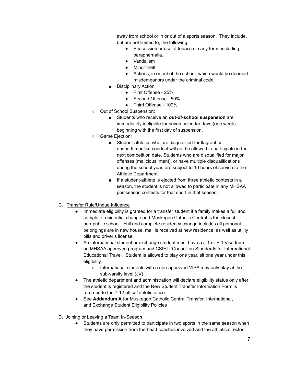away from school or in or out of a sports season. They include, but are not limited to, the following:

- Possession or use of tobacco in any form, including paraphernalia.
- Vandalism
- Minor theft
- Actions, in or out of the school, which would be deemed misdemeanors under the criminal code.
- Disciplinary Action
	- First Offense 25%
	- Second Offense 50%
	- Third Offense 100%
- Out of School Suspension:
	- Students who receive an **out-of-school suspension** are immediately ineligible for seven calendar days (one week) beginning with the first day of suspension.
- Game Ejection:
	- Student-athletes who are disqualified for flagrant or unsportsmanlike conduct will not be allowed to participate in the next competition date. Students who are disqualified for major offenses (malicious intent), or have multiple disqualifications during the school year, are subject to 10 hours of service to the Athletic Department.
	- If a student-athlete is ejected from three athletic contests in a season, the student is not allowed to participate in any MHSAA postseason contests for that sport in that season.
- C. Transfer Rule/Undue Influence
	- Immediate eligibility is granted for a transfer student if a family makes a full and complete residential change and Muskegon Catholic Central is the closest non-public school. Full and complete residency change includes all personal belongings are in new house, mail is received at new residence, as well as utility bills and driver's license.
	- An international student or exchange student must have a J-1 or F-1 Visa from an MHSAA approved program and CSIET (Council on Standards for International Educational Travel. Student is allowed to play one year, sit one year under this eligibility.
		- International students with a non-approved VISA may only play at the sub-varsity level (JV)
	- The athletic department and administration will declare eligibility status only after the student is registered and the New Student Transfer Information Form is returned to the 7-12 office/athletic office.
	- See **Addendum A** for Muskegon Catholic Central Transfer, International, and Exchange Student Eligibility Policies
- D. Joining or Leaving a Team In-Season
	- Students are only permitted to participate in two sports in the same season when they have permission from the head coaches involved and the athletic director.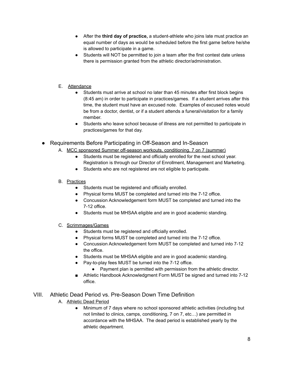- After the **third day of practice,** a student-athlete who joins late must practice an equal number of days as would be scheduled before the first game before he/she is allowed to participate in a game.
- Students will NOT be permitted to join a team after the first contest date unless there is permission granted from the athletic director/administration.
- E. Attendance
	- Students must arrive at school no later than 45 minutes after first block begins (8:45 am) in order to participate in practices/games. If a student arrives after this time, the student must have an excused note. Examples of excused notes would be from a doctor, dentist, or if a student attends a funeral/visitation for a family member.
	- Students who leave school because of illness are not permitted to participate in practices/games for that day.
- Requirements Before Participating in Off-Season and In-Season
	- A. MCC sponsored Summer off-season workouts, conditioning, 7 on 7 (summer)
		- Students must be registered and officially enrolled for the next school year. Registration is through our Director of Enrollment, Management and Marketing.
		- Students who are not registered are not eligible to participate.
	- B. Practices
		- Students must be registered and officially enrolled.
		- Physical forms MUST be completed and turned into the 7-12 office.
		- Concussion Acknowledgement form MUST be completed and turned into the 7-12 office.
		- Students must be MHSAA eligible and are in good academic standing.
	- C. Scrimmages/Games
		- Students must be registered and officially enrolled.
		- Physical forms MUST be completed and turned into the 7-12 office.
		- Concussion Acknowledgement form MUST be completed and turned into 7-12 the office.
		- Students must be MHSAA eligible and are in good academic standing.
		- Pay-to-play fees MUST be turned into the 7-12 office.
			- Payment plan is permitted with permission from the athletic director.
		- Athletic Handbook Acknowledgment Form MUST be signed and turned into 7-12 office.

#### VIII. Athletic Dead Period vs. Pre-Season Down Time Definition

- A. Athletic Dead Period
	- Minimum of 7 days where no school sponsored athletic activities (including but not limited to clinics, camps, conditioning, 7 on 7, etc…) are permitted in accordance with the MHSAA. The dead period is established yearly by the athletic department.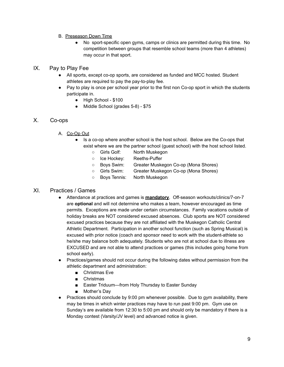#### B. Preseason Down Time

No sport-specific open gyms, camps or clinics are permitted during this time. No competition between groups that resemble school teams (more than 4 athletes) may occur in that sport.

#### IX. Pay to Play Fee

- All sports, except co-op sports, are considered as funded and MCC hosted. Student athletes are required to pay the pay-to-play fee.
- Pay to play is once per school year prior to the first non Co-op sport in which the students participate in.
	- High School \$100
	- Middle School (grades 5-8) \$75

#### X. Co-ops

- A. Co-Op Out
	- Is a co-op where another school is the host school. Below are the Co-ops that exist where we are the partner school (guest school) with the host school listed.
		- Girls Golf: North Muskegon
		- Ice Hockey: Reeths-Puffer
		- Boys Swim: Greater Muskegon Co-op (Mona Shores)
		- Girls Swim: Greater Muskegon Co-op (Mona Shores)
		- Boys Tennis: North Muskegon

#### XI. Practices / Games

- Attendance at practices and games is **mandatory**. Off-season workouts/clinics/7-on-7 are **optional** and will not determine who makes a team, however encouraged as time permits. Exceptions are made under certain circumstances. Family vacations outside of holiday breaks are NOT considered excused absences. Club sports are NOT considered excused practices because they are not affiliated with the Muskegon Catholic Central Athletic Department. Participation in another school function (such as Spring Musical) is excused with prior notice (coach and sponsor need to work with the student-athlete so he/she may balance both adequately. Students who are not at school due to illness are EXCUSED and are not able to attend practices or games (this includes going home from school early).
- Practices/games should not occur during the following dates without permission from the athletic department and administration:
	- Christmas Eve
	- Christmas
	- Easter Triduum—from Holy Thursday to Easter Sunday
	- Mother's Dav
- Practices should conclude by 9:00 pm whenever possible. Due to gym availability, there may be times in which winter practices may have to run past 9:00 pm. Gym use on Sunday's are available from 12:30 to 5:00 pm and should only be mandatory if there is a Monday contest (Varsity/JV level) and advanced notice is given.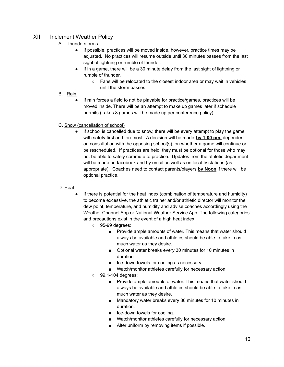#### XII. Inclement Weather Policy

- A. Thunderstorms
	- If possible, practices will be moved inside, however, practice times may be adjusted. No practices will resume outside until 30 minutes passes from the last sight of lightning or rumble of thunder.
	- If in a game, there will be a 30 minute delay from the last sight of lightning or rumble of thunder.
		- Fans will be relocated to the closest indoor area or may wait in vehicles until the storm passes
- B. Rain
	- If rain forces a field to not be playable for practice/games, practices will be moved inside. There will be an attempt to make up games later if schedule permits (Lakes 8 games will be made up per conference policy).
- C. Snow (cancellation of school)
	- If school is cancelled due to snow, there will be every attempt to play the game with safety first and foremost. A decision will be made **by 1:00 pm,** dependent on consultation with the opposing school(s), on whether a game will continue or be rescheduled. If practices are held, they must be optional for those who may not be able to safely commute to practice. Updates from the athletic department will be made on facebook and by email as well as on local tv stations (as appropriate). Coaches need to contact parents/players **by Noon** if there will be optional practice.

#### D. Heat

- If there is potential for the heat index (combination of temperature and humidity) to become excessive, the athletic trainer and/or athletic director will monitor the dew point, temperature, and humidity and advise coaches accordingly using the Weather Channel App or National Weather Service App. The following categories and precautions exist in the event of a high heat index:
	- 95-99 degrees:
		- Provide ample amounts of water. This means that water should always be available and athletes should be able to take in as much water as they desire.
		- Optional water breaks every 30 minutes for 10 minutes in duration.
		- Ice-down towels for cooling as necessary
		- Watch/monitor athletes carefully for necessary action
	- 99.1-104 degrees:
		- Provide ample amounts of water. This means that water should always be available and athletes should be able to take in as much water as they desire.
		- Mandatory water breaks every 30 minutes for 10 minutes in duration.
		- Ice-down towels for cooling.
		- Watch/monitor athletes carefully for necessary action.
		- Alter uniform by removing items if possible.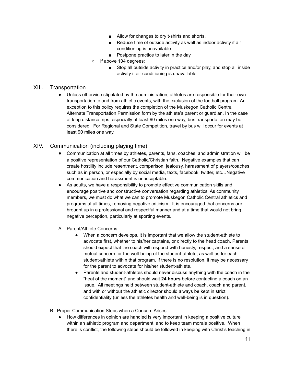- Allow for changes to dry t-shirts and shorts.
- Reduce time of outside activity as well as indoor activity if air conditioning is unavailable.
- Postpone practice to later in the day
- o If above 104 degrees:
	- Stop all outside activity in practice and/or play, and stop all inside activity if air conditioning is unavailable.

#### XIII. Transportation

● Unless otherwise stipulated by the administration, athletes are responsible for their own transportation to and from athletic events, with the exclusion of the football program. An exception to this policy requires the completion of the Muskegon Catholic Central Alternate Transportation Permission form by the athlete's parent or guardian. In the case of long distance trips, especially at least 90 miles one way, bus transportation may be considered. For Regional and State Competition, travel by bus will occur for events at least 90 miles one way.

#### XIV. Communication (including playing time)

- Communication at all times by athletes, parents, fans, coaches, and administration will be a positive representation of our Catholic/Christian faith. Negative examples that can create hostility include resentment, comparison, jealousy, harassment of players/coaches such as in person, or especially by social media, texts, facebook, twitter, etc…Negative communication and harassment is unacceptable.
- As adults, we have a responsibility to promote effective communication skills and encourage positive and constructive conversation regarding athletics. As community members, we must do what we can to promote Muskegon Catholic Central athletics and programs at all times, removing negative criticism. It is encouraged that concerns are brought up in a professional and respectful manner and at a time that would not bring negative perception, particularly at sporting events.
- A. Parent/Athlete Concerns
	- When a concern develops, it is important that we allow the student-athlete to advocate first, whether to his/her captains, or directly to the head coach. Parents should expect that the coach will respond with honesty, respect, and a sense of mutual concern for the well-being of the student-athlete, as well as for each student-athlete within that program. If there is no resolution, it may be necessary for the parent to advocate for his/her student-athlete.
	- Parents and student-athletes should never discuss anything with the coach in the "heat of the moment" and should wait **24 hours** before contacting a coach on an issue. All meetings held between student-athlete and coach, coach and parent, and with or without the athletic director should always be kept in strict confidentiality (unless the athletes health and well-being is in question).

#### B. Proper Communication Steps when a Concern Arises

● How differences in opinion are handled is very important in keeping a positive culture within an athletic program and department, and to keep team morale positive. When there is conflict, the following steps should be followed in keeping with Christ's teaching in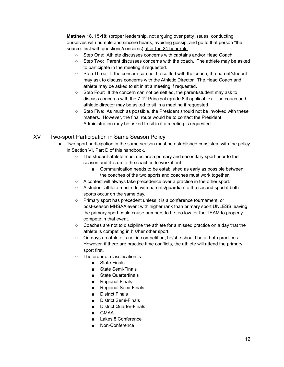**Matthew 18, 15-18:** (proper leadership, not arguing over petty issues, conducting ourselves with humble and sincere hearts, avoiding gossip, and go to that person "the source" first with questions/concerns) after the 24 hour rule.

- Step One: Athlete discusses concerns with captains and/or Head Coach
- Step Two: Parent discusses concerns with the coach. The athlete may be asked to participate in the meeting if requested.
- Step Three: If the concern can not be settled with the coach, the parent/student may ask to discuss concerns with the Athletic Director. The Head Coach and athlete may be asked to sit in at a meeting if requested.
- Step Four: If the concern can not be settled, the parent/student may ask to discuss concerns with the 7-12 Principal (grade 6 if applicable). The coach and athletic director may be asked to sit in a meeting if requested.
- Step Five: As much as possible, the President should not be involved with these matters. However, the final route would be to contact the President. Administration may be asked to sit in if a meeting is requested.

#### XV. Two-sport Participation in Same Season Policy

- Two-sport participation in the same season must be established consistent with the policy in Section VI, Part D of this handbook.
	- The student-athlete must declare a primary and secondary sport prior to the season and it is up to the coaches to work it out.
		- Communication needs to be established as early as possible between the coaches of the two sports and coaches must work together.
	- A contest will always take precedence over a practice in the other sport.
	- A student-athlete must ride with parents/guardian to the second sport if both sports occur on the same day.
	- Primary sport has precedent unless it is a conference tournament, or post-season MHSAA event with higher rank than primary sport UNLESS leaving the primary sport could cause numbers to be too low for the TEAM to properly compete in that event.
	- Coaches are not to discipline the athlete for a missed practice on a day that the athlete is competing in his/her other sport.
	- On days an athlete is not in competition, he/she should be at both practices. However, if there are practice time conflicts, the athlete will attend the primary sport first.
	- The order of classification is:
		- State Finals
		- **State Semi-Finals**
		- State Quarterfinals
		- Regional Finals
		- Regional Semi-Finals
		- District Finals
		- District Semi-Finals
		- District Quarter-Finals
		- GMAA
		- Lakes 8 Conference
		- Non-Conference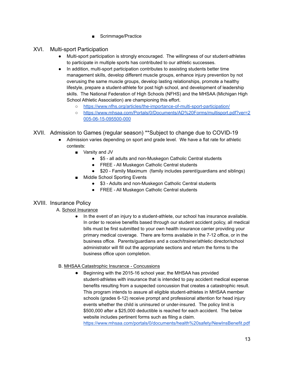■ Scrimmage/Practice

#### XVI. Multi-sport Participation

- Multi-sport participation is strongly encouraged. The willingness of our student-athletes to participate in multiple sports has contributed to our athletic successes.
- In addition, multi-sport participation contributes to assisting students better time management skills, develop different muscle groups, enhance injury prevention by not overusing the same muscle groups, develop lasting relationships, promote a healthy lifestyle, prepare a student-athlete for post high school, and development of leadership skills. The National Federation of High Schools (NFHS) and the MHSAA (Michigan High School Athletic Association) are championing this effort.
	- <https://www.nfhs.org/articles/the-importance-of-multi-sport-participation/>
	- o [https://www.mhsaa.com/Portals/0/Documents/AD%20Forms/multisport.pdf?ver=2](https://www.mhsaa.com/Portals/0/Documents/AD%20Forms/multisport.pdf?ver=2005-06-15-095500-000) [005-06-15-095500-000](https://www.mhsaa.com/Portals/0/Documents/AD%20Forms/multisport.pdf?ver=2005-06-15-095500-000)

XVII. Admission to Games (regular season) \*\*Subject to change due to COVID-19

- Admission varies depending on sport and grade level. We have a flat rate for athletic contests:
	- Varsity and JV
		- \$5 all adults and non-Muskegon Catholic Central students
		- FREE All Muskegon Catholic Central students
		- \$20 Family Maximum (family includes parent/guardians and siblings)
	- Middle School Sporting Events
		- \$3 Adults and non-Muskegon Catholic Central students
		- FREE All Muskegon Catholic Central students

#### XVIII. Insurance Policy

#### A. School Insurance

● In the event of an injury to a student-athlete, our school has insurance available. In order to receive benefits based through our student accident policy, all medical bills must be first submitted to your own health insurance carrier providing your primary medical coverage. There are forms available in the 7-12 office, or in the business office. Parents/guardians and a coach/trainer/athletic director/school administrator will fill out the appropriate sections and return the forms to the business office upon completion.

#### B. MHSAA Catastrophic Insurance - Concussions

● Beginning with the 2015-16 school year, the MHSAA has provided student-athletes with insurance that is intended to pay accident medical expense benefits resulting from a suspected concussion that creates a catastrophic result. This program intends to assure all eligible student-athletes in MHSAA member schools (grades 6-12) receive prompt and professional attention for head injury events whether the child is uninsured or under-insured. The policy limit is \$500,000 after a \$25,000 deductible is reached for each accident. The below website includes pertinent forms such as filing a claim.

<https://www.mhsaa.com/portals/0/documents/health%20safety/NewInsBenefit.pdf>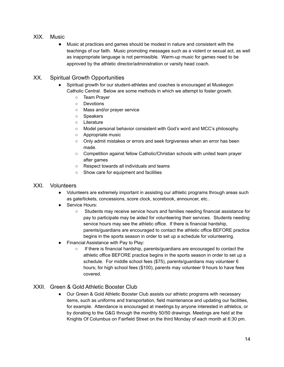- XIX. Music
	- Music at practices and games should be modest in nature and consistent with the teachings of our faith. Music promoting messages such as a violent or sexual act, as well as inappropriate language is not permissible. Warm-up music for games need to be approved by the athletic director/administration or varsity head coach.

#### XX. Spiritual Growth Opportunities

- Spiritual growth for our student-athletes and coaches is encouraged at Muskegon Catholic Central. Below are some methods in which we attempt to foster growth.
	- Team Prayer
	- Devotions
	- Mass and/or prayer service
	- Speakers
	- Literature
	- Model personal behavior consistent with God's word and MCC's philosophy.
	- Appropriate music
	- Only admit mistakes or errors and seek forgiveness when an error has been made.
	- Competition against fellow Catholic/Christian schools with united team prayer after games
	- Respect towards all individuals and teams
	- Show care for equipment and facilities

#### XXI. Volunteers

- Volunteers are extremely important in assisting our athletic programs through areas such as gate/tickets, concessions, score clock, scorebook, announcer, etc..
- Service Hours:
	- Students may receive service hours and families needing financial assistance for pay to participate may be aided for volunteering their services. Students needing service hours may see the athletic office. If there is financial hardship, parents/guardians are encouraged to contact the athletic office BEFORE practice begins in the sports season in order to set up a schedule for volunteering.
- Financial Assistance with Pay to Play:
	- If there is financial hardship, parents/guardians are encouraged to contact the athletic office BEFORE practice begins in the sports season in order to set up a schedule. For middle school fees (\$75), parents/guardians may volunteer 6 hours; for high school fees (\$100), parents may volunteer 9 hours to have fees covered.

#### XXII. Green & Gold Athletic Booster Club

● Our Green & Gold Athletic Booster Club assists our athletic programs with necessary items, such as uniforms and transportation, field maintenance and updating our facilities, for example. Attendance is encouraged at meetings by anyone interested in athletics, or by donating to the G&G through the monthly 50/50 drawings. Meetings are held at the Knights Of Columbus on Fairfield Street on the third Monday of each month at 6:30 pm.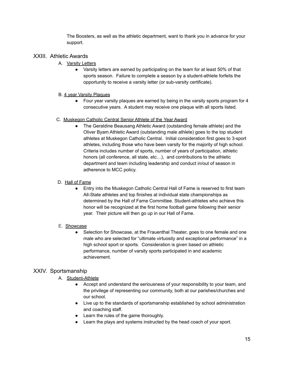The Boosters, as well as the athletic department, want to thank you in advance for your support.

#### XXIII. Athletic Awards

- A. Varsity Letters
	- Varsity letters are earned by participating on the team for at least 50% of that sports season. Failure to complete a season by a student-athlete forfeits the opportunity to receive a varsity letter (or sub-varsity certificate).

#### B. 4 year Varsity Plaques

• Four year varsity plagues are earned by being in the varsity sports program for 4 consecutive years. A student may receive one plaque with all sports listed.

#### C. Muskegon Catholic Central Senior Athlete of the Year Award

● The Geraldine Beausang Athletic Award (outstanding female athlete) and the Oliver Byam Athletic Award (outstanding male athlete) goes to the top student athletes at Muskegon Catholic Central. Initial consideration first goes to 3-sport athletes, including those who have been varsity for the majority of high school. Criteria includes number of sports, number of years of participation, athletic honors (all conference, all state, etc...), and contributions to the athletic department and team including leadership and conduct in/out of season in adherence to MCC policy.

#### D. Hall of Fame

● Entry into the Muskegon Catholic Central Hall of Fame is reserved to first team All-State athletes and top finishes at individual state championships as determined by the Hall of Fame Committee. Student-athletes who achieve this honor will be recognized at the first home football game following their senior year. Their picture will then go up in our Hall of Fame.

#### E. Showcase

• Selection for Showcase, at the Frauenthal Theater, goes to one female and one male who are selected for "ultimate virtuosity and exceptional performance" in a high school sport or sports. Consideration is given based on athletic performance, number of varsity sports participated in and academic achievement.

#### XXIV. Sportsmanship

- A. Student-Athlete
	- Accept and understand the seriousness of your responsibility to your team, and the privilege of representing our community, both at our parishes/churches and our school.
	- Live up to the standards of sportsmanship established by school administration and coaching staff.
	- Learn the rules of the game thoroughly.
	- Learn the plays and systems instructed by the head coach of your sport.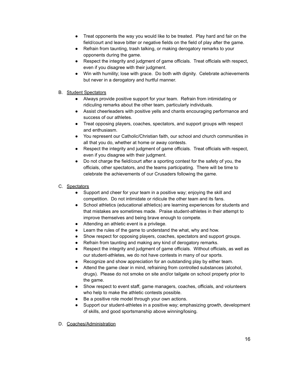- Treat opponents the way you would like to be treated. Play hard and fair on the field/court and leave bitter or negative fields on the field of play after the game.
- Refrain from taunting, trash talking, or making derogatory remarks to your opponents during the game.
- Respect the integrity and judgment of game officials. Treat officials with respect, even if you disagree with their judgment.
- Win with humility; lose with grace. Do both with dignity. Celebrate achievements but never in a derogatory and hurtful manner.
- B. Student Spectators
	- Always provide positive support for your team. Refrain from intimidating or ridiculing remarks about the other team, particularly individuals.
	- Assist cheerleaders with positive yells and chants encouraging performance and success of our athletes.
	- Treat opposing players, coaches, spectators, and support groups with respect and enthusiasm.
	- You represent our Catholic/Christian faith, our school and church communities in all that you do, whether at home or away contests.
	- Respect the integrity and judgment of game officials. Treat officials with respect, even if you disagree with their judgment.
	- Do not charge the field/court after a sporting contest for the safety of you, the officials, other spectators, and the teams participating. There will be time to celebrate the achievements of our Crusaders following the game.

#### C. Spectators

- Support and cheer for your team in a positive way; enjoying the skill and competition. Do not intimidate or ridicule the other team and its fans.
- School athletics (educational athletics) are learning experiences for students and that mistakes are sometimes made. Praise student-athletes in their attempt to improve themselves and being brave enough to compete.
- Attending an athletic event is a privilege.
- Learn the rules of the game to understand the what, why and how.
- Show respect for opposing players, coaches, spectators and support groups.
- Refrain from taunting and making any kind of derogatory remarks.
- Respect the integrity and judgment of game officials. Without officials, as well as our student-athletes, we do not have contests in many of our sports.
- Recognize and show appreciation for an outstanding play by either team.
- Attend the game clear in mind, refraining from controlled substances (alcohol, drugs). Please do not smoke on site and/or tailgate on school property prior to the game.
- Show respect to event staff, game managers, coaches, officials, and volunteers who help to make the athletic contests possible.
- Be a positive role model through your own actions.
- Support our student-athletes in a positive way; emphasizing growth, development of skills, and good sportsmanship above winning/losing.

#### D. Coaches/Administration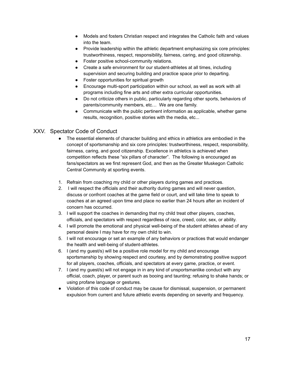- Models and fosters Christian respect and integrates the Catholic faith and values into the team.
- Provide leadership within the athletic department emphasizing six core principles: trustworthiness, respect, responsibility, fairness, caring, and good citizenship.
- Foster positive school-community relations.
- Create a safe environment for our student-athletes at all times, including supervision and securing building and practice space prior to departing.
- Foster opportunities for spiritual growth
- Encourage multi-sport participation within our school, as well as work with all programs including fine arts and other extra curricular opportunities.
- Do not criticize others in public, particularly regarding other sports, behaviors of parents/community members, etc… We are one family.
- Communicate with the public pertinent information as applicable, whether game results, recognition, positive stories with the media, etc...

#### XXV. Spectator Code of Conduct

- The essential elements of character building and ethics in athletics are embodied in the concept of sportsmanship and six core principles: trustworthiness, respect, responsibility, fairness, caring, and good citizenship. Excellence in athletics is achieved when competition reflects these "six pillars of character". The following is encouraged as fans/spectators as we first represent God, and then as the Greater Muskegon Catholic Central Community at sporting events.
- 1. Refrain from coaching my child or other players during games and practices.
- 2. I will respect the officials and their authority during games and will never question, discuss or confront coaches at the game field or court, and will take time to speak to coaches at an agreed upon time and place no earlier than 24 hours after an incident of concern has occurred.
- 3. I will support the coaches in demanding that my child treat other players, coaches, officials, and spectators with respect regardless of race, creed, color, sex, or ability.
- 4. I will promote the emotional and physical well-being of the student athletes ahead of any personal desire I may have for my own child to win.
- 5. I will not encourage or set an example of any behaviors or practices that would endanger the health and well-being of student-athletes.
- 6. I (and my guest/s) will be a positive role model for my child and encourage sportsmanship by showing respect and courtesy, and by demonstrating positive support for all players, coaches, officials, and spectators at every game, practice, or event.
- 7. I (and my guest/s) will not engage in in any kind of unsportsmanlike conduct with any official, coach, player, or parent such as booing and taunting; refusing to shake hands; or using profane language or gestures.
- Violation of this code of conduct may be cause for dismissal, suspension, or permanent expulsion from current and future athletic events depending on severity and frequency.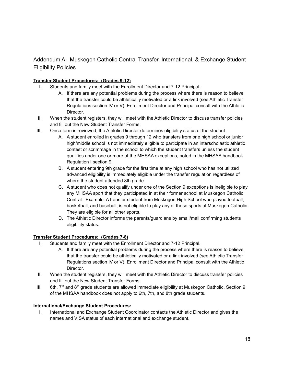#### Addendum A: Muskegon Catholic Central Transfer, International, & Exchange Student Eligibility Policies

#### **Transfer Student Procedures: (Grades 9-12)**

- I. Students and family meet with the Enrollment Director and 7-12 Principal.
	- A. If there are any potential problems during the process where there is reason to believe that the transfer could be athletically motivated or a link involved (see Athletic Transfer Regulations section IV or V), Enrollment Director and Principal consult with the Athletic Director.
- II. When the student registers, they will meet with the Athletic Director to discuss transfer policies and fill out the New Student Transfer Forms.
- III. Once form is reviewed, the Athletic Director determines eligibility status of the student.
	- A. A student enrolled in grades 9 through 12 who transfers from one high school or junior high/middle school is not immediately eligible to participate in an interscholastic athletic contest or scrimmage in the school to which the student transfers unless the student qualifies under one or more of the MHSAA exceptions, noted in the MHSAA handbook Regulation I section 9.
	- B. A student entering 9th grade for the first time at any high school who has not utilized advanced eligibility is immediately eligible under the transfer regulation regardless of where the student attended 8th grade.
	- C. A student who does not qualify under one of the Section 9 exceptions is ineligible to play any MHSAA sport that they participated in at their former school at Muskegon Catholic Central. Example: A transfer student from Muskegon High School who played football, basketball, and baseball, is not eligible to play any of those sports at Muskegon Catholic. They are eligible for all other sports.
	- D. The Athletic Director informs the parents/guardians by email/mail confirming students eligibility status.

#### **Transfer Student Procedures: (Grades 7-8)**

- I. Students and family meet with the Enrollment Director and 7-12 Principal.
	- A. If there are any potential problems during the process where there is reason to believe that the transfer could be athletically motivated or a link involved (see Athletic Transfer Regulations section IV or V), Enrollment Director and Principal consult with the Athletic Director.
- II. When the student registers, they will meet with the Athletic Director to discuss transfer policies and fill out the New Student Transfer Forms.
- III. 6th,  $7<sup>th</sup>$  and 8<sup>th</sup> grade students are allowed immediate eligibility at Muskegon Catholic. Section 9 of the MHSAA handbook does not apply to 6th, 7th, and 8th grade students.

#### **International/Exchange Student Procedures:**

I. International and Exchange Student Coordinator contacts the Athletic Director and gives the names and VISA status of each international and exchange student.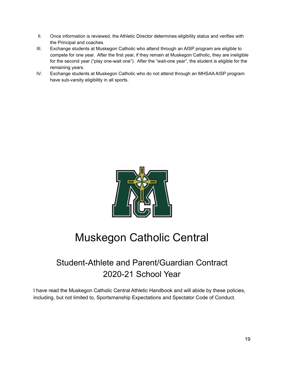- II. Once information is reviewed, the Athletic Director determines eligibility status and verifies with the Principal and coaches.
- III. Exchange students at Muskegon Catholic who attend through an AISP program are eligible to compete for one year. After the first year, if they remain at Muskegon Catholic, they are ineligible for the second year ("play one-wait one"). After the "wait-one year", the student is eligible for the remaining years.
- IV. Exchange students at Muskegon Catholic who do not attend through an MHSAA AISP program have sub-varsity eligibility in all sports.



## Muskegon Catholic Central

## Student-Athlete and Parent/Guardian Contract 2020-21 School Year

I have read the Muskegon Catholic Central Athletic Handbook and will abide by these policies, including, but not limited to, Sportsmanship Expectations and Spectator Code of Conduct.